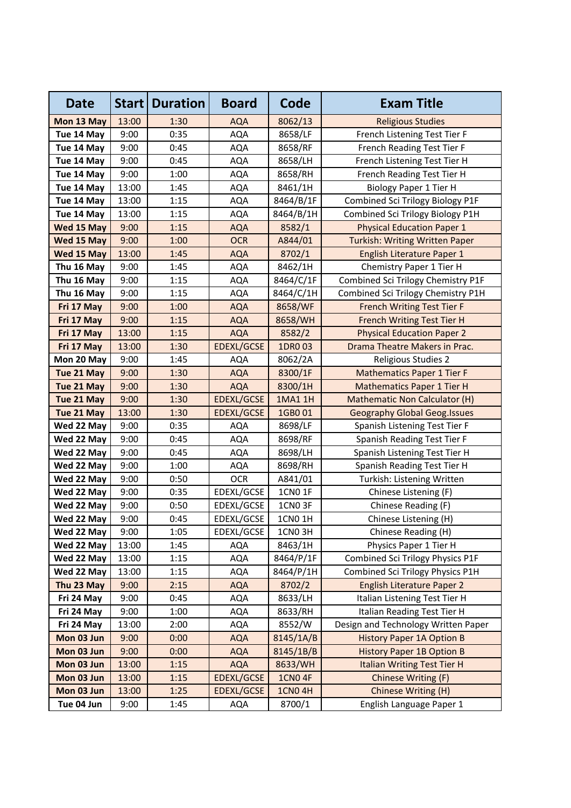| <b>Date</b> | Start | <b>Duration</b> | <b>Board</b>      | Code               | <b>Exam Title</b>                     |
|-------------|-------|-----------------|-------------------|--------------------|---------------------------------------|
| Mon 13 May  | 13:00 | 1:30            | <b>AQA</b>        | 8062/13            | <b>Religious Studies</b>              |
| Tue 14 May  | 9:00  | 0:35            | <b>AQA</b>        | 8658/LF            | French Listening Test Tier F          |
| Tue 14 May  | 9:00  | 0:45            | <b>AQA</b>        | 8658/RF            | French Reading Test Tier F            |
| Tue 14 May  | 9:00  | 0:45            | AQA               | 8658/LH            | French Listening Test Tier H          |
| Tue 14 May  | 9:00  | 1:00            | <b>AQA</b>        | 8658/RH            | French Reading Test Tier H            |
| Tue 14 May  | 13:00 | 1:45            | <b>AQA</b>        | 8461/1H            | <b>Biology Paper 1 Tier H</b>         |
| Tue 14 May  | 13:00 | 1:15            | AQA               | 8464/B/1F          | Combined Sci Trilogy Biology P1F      |
| Tue 14 May  | 13:00 | 1:15            | <b>AQA</b>        | 8464/B/1H          | Combined Sci Trilogy Biology P1H      |
| Wed 15 May  | 9:00  | 1:15            | <b>AQA</b>        | 8582/1             | <b>Physical Education Paper 1</b>     |
| Wed 15 May  | 9:00  | 1:00            | <b>OCR</b>        | A844/01            | <b>Turkish: Writing Written Paper</b> |
| Wed 15 May  | 13:00 | 1:45            | <b>AQA</b>        | 8702/1             | English Literature Paper 1            |
| Thu 16 May  | 9:00  | 1:45            | AQA               | 8462/1H            | Chemistry Paper 1 Tier H              |
| Thu 16 May  | 9:00  | 1:15            | AQA               | 8464/C/1F          | Combined Sci Trilogy Chemistry P1F    |
| Thu 16 May  | 9:00  | 1:15            | AQA               | 8464/C/1H          | Combined Sci Trilogy Chemistry P1H    |
| Fri 17 May  | 9:00  | 1:00            | <b>AQA</b>        | 8658/WF            | <b>French Writing Test Tier F</b>     |
| Fri 17 May  | 9:00  | 1:15            | <b>AQA</b>        | 8658/WH            | <b>French Writing Test Tier H</b>     |
| Fri 17 May  | 13:00 | 1:15            | <b>AQA</b>        | 8582/2             | <b>Physical Education Paper 2</b>     |
| Fri 17 May  | 13:00 | 1:30            | <b>EDEXL/GCSE</b> | 1DR0 03            | Drama Theatre Makers in Prac.         |
| Mon 20 May  | 9:00  | 1:45            | <b>AQA</b>        | 8062/2A            | Religious Studies 2                   |
| Tue 21 May  | 9:00  | 1:30            | <b>AQA</b>        | 8300/1F            | <b>Mathematics Paper 1 Tier F</b>     |
| Tue 21 May  | 9:00  | 1:30            | <b>AQA</b>        | 8300/1H            | <b>Mathematics Paper 1 Tier H</b>     |
| Tue 21 May  | 9:00  | 1:30            | EDEXL/GCSE        | 1MA1 1H            | <b>Mathematic Non Calculator (H)</b>  |
| Tue 21 May  | 13:00 | 1:30            | <b>EDEXL/GCSE</b> | 1GB001             | <b>Geography Global Geog.Issues</b>   |
| Wed 22 May  | 9:00  | 0:35            | <b>AQA</b>        | 8698/LF            | Spanish Listening Test Tier F         |
| Wed 22 May  | 9:00  | 0:45            | <b>AQA</b>        | 8698/RF            | Spanish Reading Test Tier F           |
| Wed 22 May  | 9:00  | 0:45            | <b>AQA</b>        | 8698/LH            | Spanish Listening Test Tier H         |
| Wed 22 May  | 9:00  | 1:00            | AQA               | 8698/RH            | Spanish Reading Test Tier H           |
| Wed 22 May  | 9:00  | 0:50            | <b>OCR</b>        | A841/01            | Turkish: Listening Written            |
| Wed 22 May  | 9:00  | 0:35            | EDEXL/GCSE        | 1CN0 1F            | Chinese Listening (F)                 |
| Wed 22 May  | 9:00  | 0:50            | EDEXL/GCSE        | 1CNO <sub>3F</sub> | Chinese Reading (F)                   |
| Wed 22 May  | 9:00  | 0:45            | EDEXL/GCSE        | <b>1CN0 1H</b>     | Chinese Listening (H)                 |
| Wed 22 May  | 9:00  | 1:05            | EDEXL/GCSE        | 1CNO <sub>3H</sub> | Chinese Reading (H)                   |
| Wed 22 May  | 13:00 | 1:45            | <b>AQA</b>        | 8463/1H            | Physics Paper 1 Tier H                |
| Wed 22 May  | 13:00 | 1:15            | AQA               | 8464/P/1F          | Combined Sci Trilogy Physics P1F      |
| Wed 22 May  | 13:00 | 1:15            | <b>AQA</b>        | 8464/P/1H          | Combined Sci Trilogy Physics P1H      |
| Thu 23 May  | 9:00  | 2:15            | <b>AQA</b>        | 8702/2             | <b>English Literature Paper 2</b>     |
| Fri 24 May  | 9:00  | 0:45            | <b>AQA</b>        | 8633/LH            | Italian Listening Test Tier H         |
| Fri 24 May  | 9:00  | 1:00            | <b>AQA</b>        | 8633/RH            | Italian Reading Test Tier H           |
| Fri 24 May  | 13:00 | 2:00            | AQA               | 8552/W             | Design and Technology Written Paper   |
| Mon 03 Jun  | 9:00  | 0:00            | <b>AQA</b>        | 8145/1A/B          | <b>History Paper 1A Option B</b>      |
| Mon 03 Jun  | 9:00  | 0:00            | <b>AQA</b>        | 8145/1B/B          | <b>History Paper 1B Option B</b>      |
| Mon 03 Jun  | 13:00 | 1:15            | <b>AQA</b>        | 8633/WH            | <b>Italian Writing Test Tier H</b>    |
| Mon 03 Jun  | 13:00 | 1:15            | <b>EDEXL/GCSE</b> | <b>1CNO 4F</b>     | Chinese Writing (F)                   |
| Mon 03 Jun  | 13:00 | 1:25            | <b>EDEXL/GCSE</b> | <b>1CN04H</b>      | Chinese Writing (H)                   |
| Tue 04 Jun  | 9:00  | 1:45            | <b>AQA</b>        | 8700/1             | English Language Paper 1              |